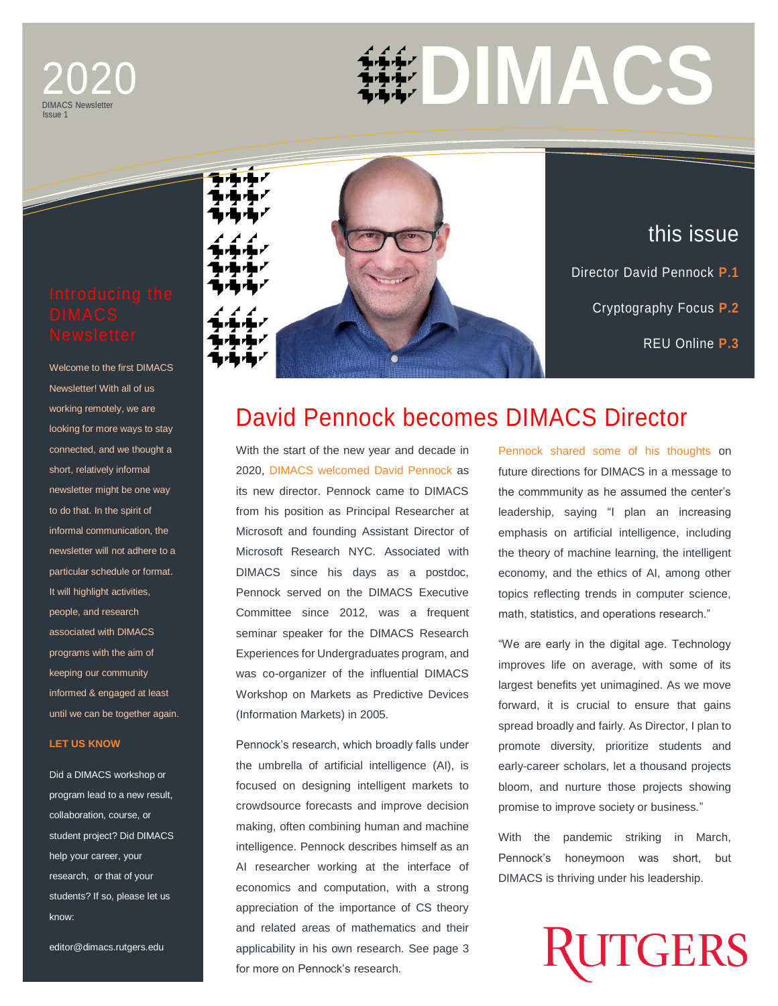## DIMACS Newsletter 2020 Issue 1

Issue 1 **DIMACS**

Welcome to the first DIMACS Newsletter! With all of us working remotely, we are looking for more ways to stay connected, and we thought a short, relatively informal newsletter might be one way to do that. In the spirit of informal communication, the newsletter will not adhere to a particular schedule or format. It will highlight activities, people, and research associated with DIMACS programs with the aim of keeping our community informed & engaged at least until we can be together again.

### **[LET US KNOW](mailto:editor@dimacs.rutgers.edu)**

Did a DIMACS workshop or program lead to a new result, collaboration, course, or student project? Did DIMACS help your career, your research, or that of your students? If so, please let us know:

editor@dimacs.rutgers.edu



## David Pennock becomes DIMACS Director

With the start of the new year and decade in 2020, [DIMACS welcomed David Pennock](http://dimacs.rutgers.edu/news_archive/director-pennock) as its new director. Pennock came to DIMACS from his position as Principal Researcher at Microsoft and founding Assistant Director of Microsoft Research NYC. Associated with DIMACS since his days as a postdoc, Pennock served on the DIMACS Executive Committee since 2012, was a frequent seminar speaker for the DIMACS Research Experiences for Undergraduates program, and was co-organizer of the influential DIMACS Workshop on Markets as Predictive Devices (Information Markets) in 2005.

Pennock's research, which broadly falls under the umbrella of artificial intelligence (AI), is focused on designing intelligent markets to crowdsource forecasts and improve decision making, often combining human and machine intelligence. Pennock describes himself as an AI researcher working at the interface of economics and computation, with a strong appreciation of the importance of CS theory and related areas of mathematics and their applicability in his own research. See page 3 for more on Pennock's research.

[Pennock shared some of his thoughts](http://dimacs.rutgers.edu/news_archive/beyond2020) on future directions for DIMACS in a message to the commmunity as he assumed the center's leadership, saying "I plan an increasing emphasis on artificial intelligence, including the theory of machine learning, the intelligent economy, and the ethics of AI, among other topics reflecting trends in computer science, math, statistics, and operations research."

"We are early in the digital age. Technology improves life on average, with some of its largest benefits yet unimagined. As we move forward, it is crucial to ensure that gains spread broadly and fairly. As Director, I plan to promote diversity, prioritize students and early-career scholars, let a thousand projects bloom, and nurture those projects showing promise to improve society or business."

With the pandemic striking in March, Pennock's honeymoon was short, but DIMACS is thriving under his leadership.

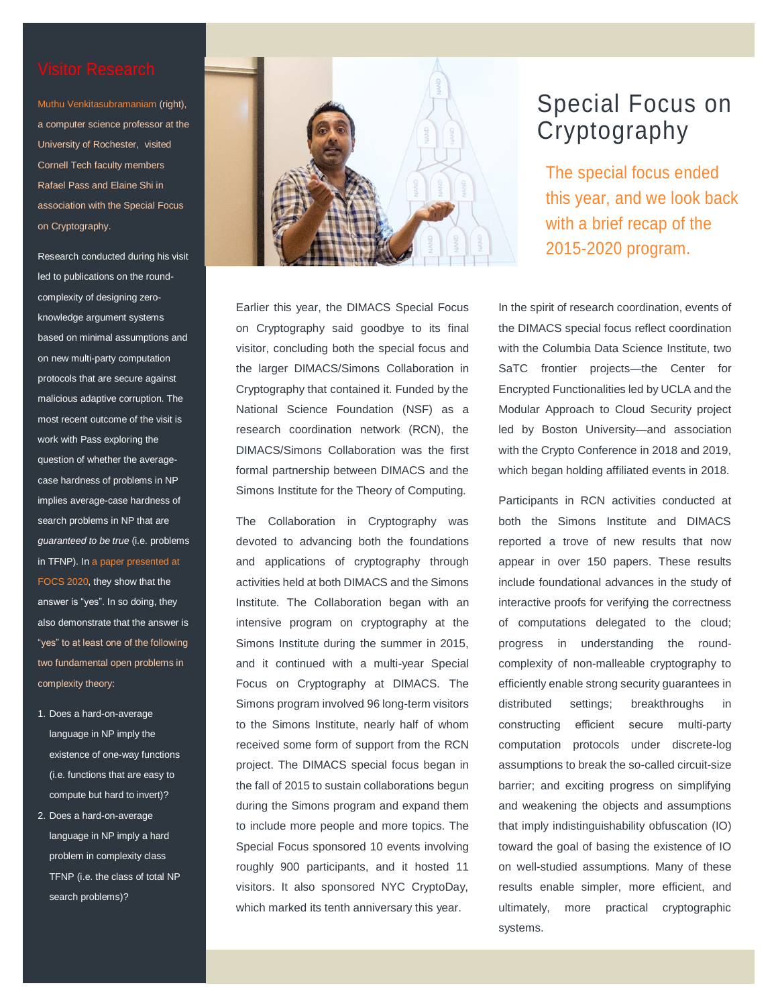[Muthu Venkitasubramaniam](https://www.cs.rochester.edu/u/muthuv/) (right), a computer science professor at the University of Rochester, visited Cornell Tech faculty members Rafael Pass and Elaine Shi in association with the Special Focus on Cryptography.

Research conducted during his visit led to publications on the roundcomplexity of designing zeroknowledge argument systems based on minimal assumptions and on new multi-party computation protocols that are secure against malicious adaptive corruption. The most recent outcome of the visit is work with Pass exploring the question of whether the averagecase hardness of problems in NP implies average-case hardness of search problems in NP that are *guaranteed to be true* (i.e. problems in TFNP). I[n a paper presented at](https://arxiv.org/abs/1906.10837)  [FOCS 2020,](https://arxiv.org/abs/1906.10837) they show that the answer is "yes". In so doing, they also demonstrate that the answer is "yes" to at least one of the following two fundamental open problems in complexity theory:

- 1. Does a hard-on-average language in NP imply the existence of one-way functions (i.e. functions that are easy to compute but hard to invert)?
- 2. Does a hard-on-average language in NP imply a hard problem in complexity class TFNP (i.e. the class of total NP search problems)?



Earlier this year, the DIMACS Special Focus on Cryptography said goodbye to its final visitor, concluding both the special focus and the larger DIMACS/Simons Collaboration in Cryptography that contained it. Funded by the National Science Foundation (NSF) as a research coordination network (RCN), the DIMACS/Simons Collaboration was the first formal partnership between DIMACS and the Simons Institute for the Theory of Computing.

The Collaboration in Cryptography was devoted to advancing both the foundations and applications of cryptography through activities held at both DIMACS and the Simons Institute. The Collaboration began with an intensive program on cryptography at the Simons Institute during the summer in 2015, and it continued with a multi-year Special Focus on Cryptography at DIMACS. The Simons program involved 96 long-term visitors to the Simons Institute, nearly half of whom received some form of support from the RCN project. The DIMACS special focus began in the fall of 2015 to sustain collaborations begun during the Simons program and expand them to include more people and more topics. The Special Focus sponsored 10 events involving roughly 900 participants, and it hosted 11 visitors. It also sponsored NYC CryptoDay, which marked its tenth anniversary this year.

## Special Focus on Cryptography

The [special focus ended](http://dimacs.rutgers.edu/news_archive/rcn-crypto)  [this year, and we look back](http://dimacs.rutgers.edu/news_archive/rcn-crypto)  [with a brief recap of](http://dimacs.rutgers.edu/news_archive/rcn-crypto) the [2015-2020 program.](http://dimacs.rutgers.edu/news_archive/rcn-crypto)

In the spirit of research coordination, events of the DIMACS special focus reflect coordination with the Columbia Data Science Institute, two SaTC frontier projects—the Center for Encrypted Functionalities led by UCLA and the Modular Approach to Cloud Security project led by Boston University—and association with the Crypto Conference in 2018 and 2019, which began holding affiliated events in 2018.

Participants in RCN activities conducted at both the Simons Institute and DIMACS reported a trove of new results that now appear in over 150 papers. These results include foundational advances in the study of interactive proofs for verifying the correctness of computations delegated to the cloud; progress in understanding the roundcomplexity of non-malleable cryptography to efficiently enable strong security guarantees in distributed settings; breakthroughs in constructing efficient secure multi-party computation protocols under discrete-log assumptions to break the so-called circuit-size barrier; and exciting progress on simplifying and weakening the objects and assumptions that imply indistinguishability obfuscation (IO) toward the goal of basing the existence of IO on well-studied assumptions. Many of these results enable simpler, more efficient, and ultimately, more practical cryptographic systems.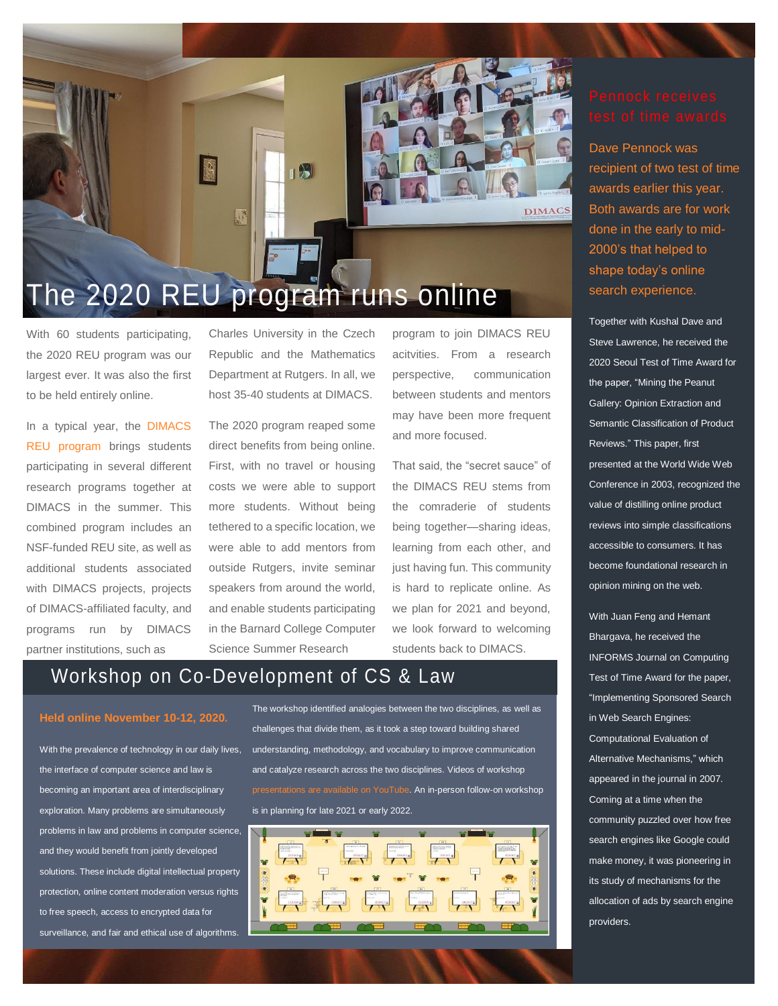

# The 2020 REU program runs online

With 60 students participating, the 2020 REU program was our largest ever. It was also the first to be held entirely online.

In a typical year, the [DIMACS](http://reu.dimacs.rutgers.edu/)  [REU program](http://reu.dimacs.rutgers.edu/) brings students participating in several different research programs together at DIMACS in the summer. This combined program includes an NSF-funded REU site, as well as additional students associated with DIMACS projects, projects of DIMACS-affiliated faculty, and programs run by DIMACS partner institutions, such as

Charles University in the Czech Republic and the Mathematics Department at Rutgers. In all, we host 35-40 students at DIMACS.

The 2020 program reaped some direct benefits from being online. First, with no travel or housing costs we were able to support more students. Without being tethered to a specific location, we were able to add mentors from outside Rutgers, invite seminar speakers from around the world, and enable students participating in the Barnard College Computer Science Summer Research

program to join DIMACS REU acitvities. From a research perspective, communication between students and mentors may have been more frequent and more focused.

That said, the "secret sauce" of the DIMACS REU stems from the comraderie of students being together—sharing ideas, learning from each other, and just having fun. This community is hard to replicate online. As we plan for 2021 and beyond, we look forward to welcoming students back to DIMACS.

## Workshop on Co-Development of CS & Law

### **[Held online November 10-12, 2020.](http://dimacs.rutgers.edu/events/details?eID=1740)**

With the prevalence of technology in our daily lives, the interface of computer science and law is becoming an important area of interdisciplinary exploration. Many problems are simultaneously problems in law and problems in computer science, and they would benefit from jointly developed solutions. These include digital intellectual property protection, online content moderation versus rights to free speech, access to encrypted data for surveillance, and fair and ethical use of algorithms.

The workshop identified analogies between the two disciplines, as well as challenges that divide them, as it took a step toward building shared understanding, methodology, and vocabulary to improve communication and catalyze research across the two disciplines. Videos of workshop are available on YouTube. An in-person follow-on workshop is in planning for late 2021 or early 2022.



Dave [Pennock was](http://dimacs.rutgers.edu/news_archive/time)  [recipient of two test of time](http://dimacs.rutgers.edu/news_archive/time)  [awards earlier this year.](http://dimacs.rutgers.edu/news_archive/time)  [Both awards are for work](http://dimacs.rutgers.edu/news_archive/time)  [done in the early to mid-](http://dimacs.rutgers.edu/news_archive/time)[2000's that helped to](http://dimacs.rutgers.edu/news_archive/time)  [shape today's online](http://dimacs.rutgers.edu/news_archive/time)  [search experience.](http://dimacs.rutgers.edu/news_archive/time)

Together with Kushal Dave and Steve Lawrence, he received the 2020 Seoul Test of Time Award for the paper, "Mining the Peanut Gallery: Opinion Extraction and Semantic Classification of Product Reviews." This paper, first presented at the World Wide Web Conference in 2003, recognized the value of distilling online product reviews into simple classifications accessible to consumers. It has become foundational research in opinion mining on the web.

With Juan Feng and Hemant Bhargava, he received the INFORMS Journal on Computing Test of Time Award for the paper, "Implementing Sponsored Search in Web Search Engines: Computational Evaluation of Alternative Mechanisms," which appeared in the journal in 2007. Coming at a time when the community puzzled over how free search engines like Google could make money, it was pioneering in its study of mechanisms for the allocation of ads by search engine providers.